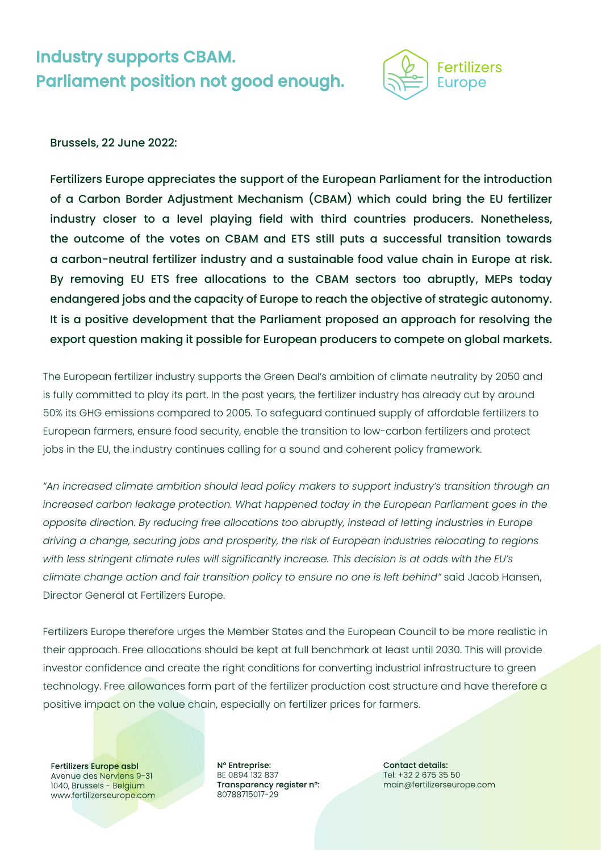## Industry supports CBAM. Parliament position not good enough.



## Brussels, 22 June 2022:

Fertilizers Europe appreciates the support of the European Parliament for the introduction of a Carbon Border Adjustment Mechanism (CBAM) which could bring the EU fertilizer industry closer to a level playing field with third countries producers. Nonetheless, the outcome of the votes on CBAM and ETS still puts a successful transition towards a carbon-neutral fertilizer industry and a sustainable food value chain in Europe at risk. By removing EU ETS free allocations to the CBAM sectors too abruptly, MEPs today endangered jobs and the capacity of Europe to reach the objective of strategic autonomy. It is a positive development that the Parliament proposed an approach for resolving the export question making it possible for European producers to compete on global markets.

The European fertilizer industry supports the Green Deal's ambition of climate neutrality by 2050 and is fully committed to play its part. In the past years, the fertilizer industry has already cut by around 50% its GHG emissions compared to 2005. To safeguard continued supply of affordable fertilizers to European farmers, ensure food security, enable the transition to low-carbon fertilizers and protect jobs in the EU, the industry continues calling for a sound and coherent policy framework.

*"An increased climate ambition should lead policy makers to support industry's transition through an*  increased carbon leakage protection. What happened today in the European Parliament goes in the *opposite direction. By reducing free allocations too abruptly, instead of letting industries in Europe driving a change, securing jobs and prosperity, the risk of European industries relocating to regions with less stringent climate rules will significantly increase. This decision is at odds with the EU's climate change action and fair transition policy to ensure no one is left behind"* said Jacob Hansen, Director General at Fertilizers Europe.

Fertilizers Europe therefore urges the Member States and the European Council to be more realistic in their approach. Free allocations should be kept at full benchmark at least until 2030. This will provide investor confidence and create the right conditions for converting industrial infrastructure to green technology. Free allowances form part of the fertilizer production cost structure and have therefore a positive impact on the value chain, especially on fertilizer prices for farmers.

Fertilizers Europe asbl Avenue des Nerviens 9-31 1040, Brussels - Belgium www.fertilizerseurope.com Nº Entreprise: BE 0894 132 837 Transparency register n°: 80788715017-29

**Contact details:** Tel: +32 2 675 35 50 main@fertilizerseurope.com